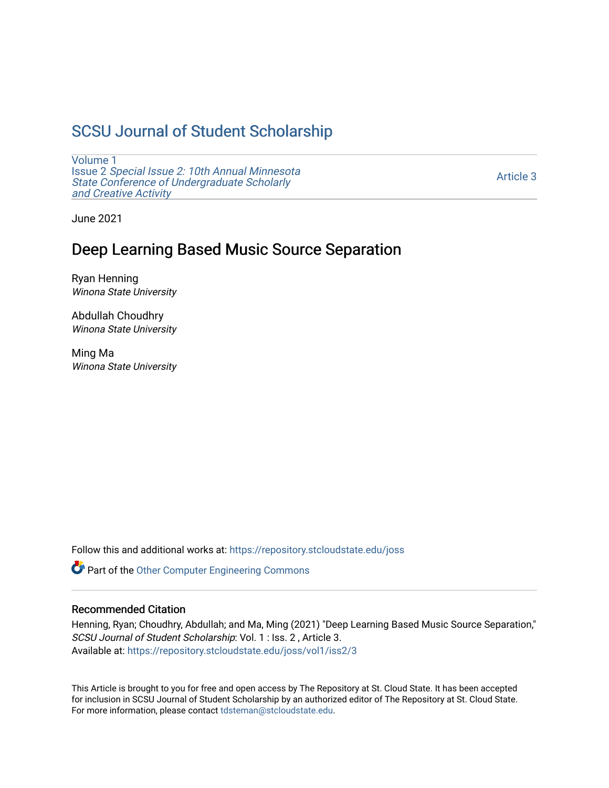# [SCSU Journal of Student Scholarship](https://repository.stcloudstate.edu/joss)

[Volume 1](https://repository.stcloudstate.edu/joss/vol1) Issue 2 [Special Issue 2: 10th Annual Minnesota](https://repository.stcloudstate.edu/joss/vol1/iss2)  [State Conference of Undergraduate Scholarly](https://repository.stcloudstate.edu/joss/vol1/iss2)  [and Creative Activity](https://repository.stcloudstate.edu/joss/vol1/iss2) 

[Article 3](https://repository.stcloudstate.edu/joss/vol1/iss2/3) 

June 2021

## Deep Learning Based Music Source Separation

Ryan Henning Winona State University

Abdullah Choudhry Winona State University

Ming Ma Winona State University

Follow this and additional works at: [https://repository.stcloudstate.edu/joss](https://repository.stcloudstate.edu/joss?utm_source=repository.stcloudstate.edu%2Fjoss%2Fvol1%2Fiss2%2F3&utm_medium=PDF&utm_campaign=PDFCoverPages) 

Part of the [Other Computer Engineering Commons](http://network.bepress.com/hgg/discipline/265?utm_source=repository.stcloudstate.edu%2Fjoss%2Fvol1%2Fiss2%2F3&utm_medium=PDF&utm_campaign=PDFCoverPages)

#### Recommended Citation

Henning, Ryan; Choudhry, Abdullah; and Ma, Ming (2021) "Deep Learning Based Music Source Separation," SCSU Journal of Student Scholarship: Vol. 1 : Iss. 2 , Article 3. Available at: [https://repository.stcloudstate.edu/joss/vol1/iss2/3](https://repository.stcloudstate.edu/joss/vol1/iss2/3?utm_source=repository.stcloudstate.edu%2Fjoss%2Fvol1%2Fiss2%2F3&utm_medium=PDF&utm_campaign=PDFCoverPages)

This Article is brought to you for free and open access by The Repository at St. Cloud State. It has been accepted for inclusion in SCSU Journal of Student Scholarship by an authorized editor of The Repository at St. Cloud State. For more information, please contact [tdsteman@stcloudstate.edu.](mailto:tdsteman@stcloudstate.edu)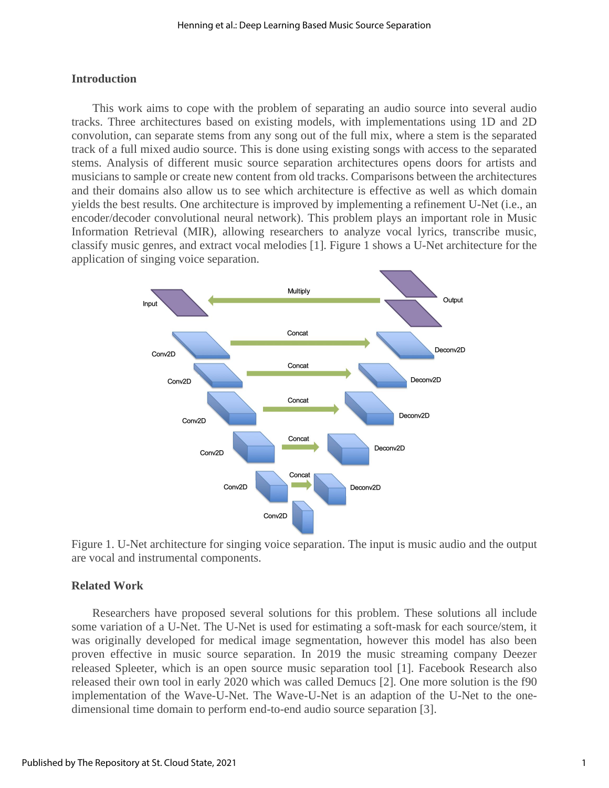#### **Introduction**

 This work aims to cope with the problem of separating an audio source into several audio tracks. Three architectures based on existing models, with implementations using 1D and 2D convolution, can separate stems from any song out of the full mix, where a stem is the separated track of a full mixed audio source. This is done using existing songs with access to the separated stems. Analysis of different music source separation architectures opens doors for artists and musicians to sample or create new content from old tracks. Comparisons between the architectures and their domains also allow us to see which architecture is effective as well as which domain yields the best results. One architecture is improved by implementing a refinement U-Net (i.e., an encoder/decoder convolutional neural network). This problem plays an important role in Music Information Retrieval (MIR), allowing researchers to analyze vocal lyrics, transcribe music, classify music genres, and extract vocal melodies [1]. Figure 1 shows a U-Net architecture for the application of singing voice separation.





### **Related Work**

 Researchers have proposed several solutions for this problem. These solutions all include some variation of a U-Net. The U-Net is used for estimating a soft-mask for each source/stem, it was originally developed for medical image segmentation, however this model has also been proven effective in music source separation. In 2019 the music streaming company Deezer released Spleeter, which is an open source music separation tool [1]. Facebook Research also released their own tool in early 2020 which was called Demucs [2]. One more solution is the f90 implementation of the Wave-U-Net. The Wave-U-Net is an adaption of the U-Net to the onedimensional time domain to perform end-to-end audio source separation [3].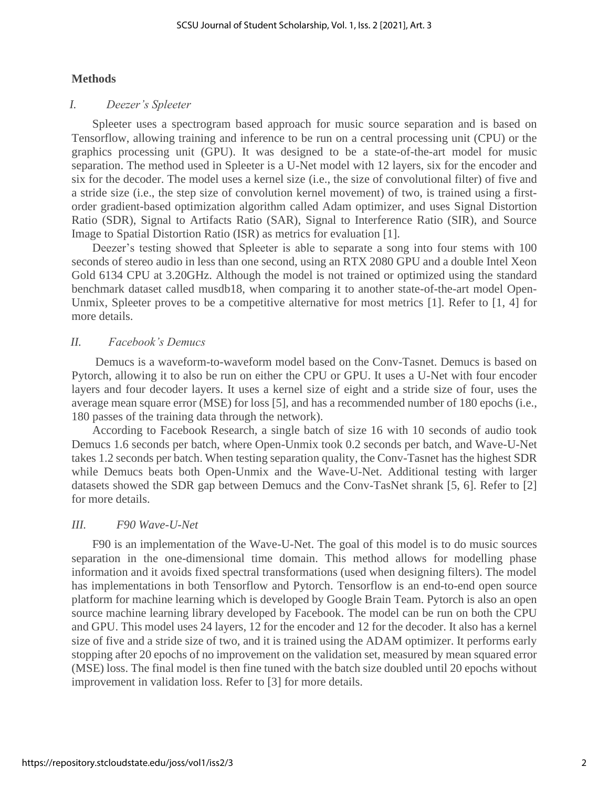#### **Methods**

#### *I. Deezer's Spleeter*

 Spleeter uses a spectrogram based approach for music source separation and is based on Tensorflow, allowing training and inference to be run on a central processing unit (CPU) or the graphics processing unit (GPU). It was designed to be a state-of-the-art model for music separation. The method used in Spleeter is a U-Net model with 12 layers, six for the encoder and six for the decoder. The model uses a kernel size (i.e., the size of convolutional filter) of five and a stride size (i.e., the step size of convolution kernel movement) of two, is trained using a firstorder gradient-based optimization algorithm called Adam optimizer, and uses Signal Distortion Ratio (SDR), Signal to Artifacts Ratio (SAR), Signal to Interference Ratio (SIR), and Source Image to Spatial Distortion Ratio (ISR) as metrics for evaluation [1].

 Deezer's testing showed that Spleeter is able to separate a song into four stems with 100 seconds of stereo audio in less than one second, using an RTX 2080 GPU and a double Intel Xeon Gold 6134 CPU at 3.20GHz. Although the model is not trained or optimized using the standard benchmark dataset called musdb18, when comparing it to another state-of-the-art model Open-Unmix, Spleeter proves to be a competitive alternative for most metrics  $[1]$ . Refer to  $[1, 4]$  for more details.

### *II. Facebook's Demucs*

 Demucs is a waveform-to-waveform model based on the Conv-Tasnet. Demucs is based on Pytorch, allowing it to also be run on either the CPU or GPU. It uses a U-Net with four encoder layers and four decoder layers. It uses a kernel size of eight and a stride size of four, uses the average mean square error (MSE) for loss [5], and has a recommended number of 180 epochs (i.e., 180 passes of the training data through the network).

 According to Facebook Research, a single batch of size 16 with 10 seconds of audio took Demucs 1.6 seconds per batch, where Open-Unmix took 0.2 seconds per batch, and Wave-U-Net takes 1.2 seconds per batch. When testing separation quality, the Conv-Tasnet has the highest SDR while Demucs beats both Open-Unmix and the Wave-U-Net. Additional testing with larger datasets showed the SDR gap between Demucs and the Conv-TasNet shrank [5, 6]. Refer to [2] for more details.

### *III. F90 Wave-U-Net*

 F90 is an implementation of the Wave-U-Net. The goal of this model is to do music sources separation in the one-dimensional time domain. This method allows for modelling phase information and it avoids fixed spectral transformations (used when designing filters). The model has implementations in both Tensorflow and Pytorch. Tensorflow is an end-to-end open source platform for machine learning which is developed by Google Brain Team. Pytorch is also an open source machine learning library developed by Facebook. The model can be run on both the CPU and GPU. This model uses 24 layers, 12 for the encoder and 12 for the decoder. It also has a kernel size of five and a stride size of two, and it is trained using the ADAM optimizer. It performs early stopping after 20 epochs of no improvement on the validation set, measured by mean squared error (MSE) loss. The final model is then fine tuned with the batch size doubled until 20 epochs without improvement in validation loss. Refer to [3] for more details.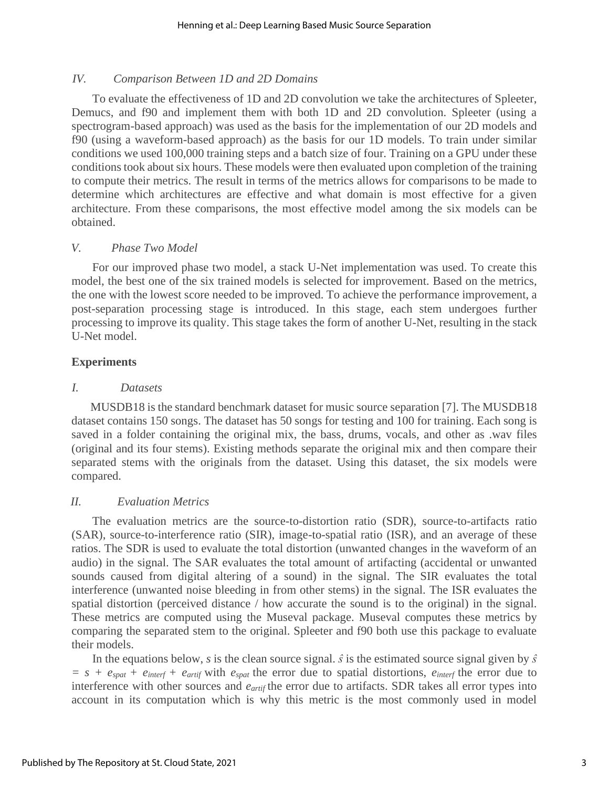#### *IV. Comparison Between 1D and 2D Domains*

 To evaluate the effectiveness of 1D and 2D convolution we take the architectures of Spleeter, Demucs, and f90 and implement them with both 1D and 2D convolution. Spleeter (using a spectrogram-based approach) was used as the basis for the implementation of our 2D models and f90 (using a waveform-based approach) as the basis for our 1D models. To train under similar conditions we used 100,000 training steps and a batch size of four. Training on a GPU under these conditions took about six hours. These models were then evaluated upon completion of the training to compute their metrics. The result in terms of the metrics allows for comparisons to be made to determine which architectures are effective and what domain is most effective for a given architecture. From these comparisons, the most effective model among the six models can be obtained.

#### *V. Phase Two Model*

 For our improved phase two model, a stack U-Net implementation was used. To create this model, the best one of the six trained models is selected for improvement. Based on the metrics, the one with the lowest score needed to be improved. To achieve the performance improvement, a post-separation processing stage is introduced. In this stage, each stem undergoes further processing to improve its quality. This stage takes the form of another U-Net, resulting in the stack U-Net model.

#### **Experiments**

#### *I. Datasets*

MUSDB18 is the standard benchmark dataset for music source separation [7]. The MUSDB18 dataset contains 150 songs. The dataset has 50 songs for testing and 100 for training. Each song is saved in a folder containing the original mix, the bass, drums, vocals, and other as .wav files (original and its four stems). Existing methods separate the original mix and then compare their separated stems with the originals from the dataset. Using this dataset, the six models were compared.

### *II. Evaluation Metrics*

 The evaluation metrics are the source-to-distortion ratio (SDR), source-to-artifacts ratio (SAR), source-to-interference ratio (SIR), image-to-spatial ratio (ISR), and an average of these ratios. The SDR is used to evaluate the total distortion (unwanted changes in the waveform of an audio) in the signal. The SAR evaluates the total amount of artifacting (accidental or unwanted sounds caused from digital altering of a sound) in the signal. The SIR evaluates the total interference (unwanted noise bleeding in from other stems) in the signal. The ISR evaluates the spatial distortion (perceived distance / how accurate the sound is to the original) in the signal. These metrics are computed using the Museval package. Museval computes these metrics by comparing the separated stem to the original. Spleeter and f90 both use this package to evaluate their models.

In the equations below, *s* is the clean source signal.  $\hat{s}$  is the estimated source signal given by  $\hat{s}$  $= s + e_{\text{spat}} + e_{\text{interf}} + e_{\text{artif}}$  with  $e_{\text{spat}}$  the error due to spatial distortions,  $e_{\text{interf}}$  the error due to interference with other sources and *eartif* the error due to artifacts. SDR takes all error types into account in its computation which is why this metric is the most commonly used in model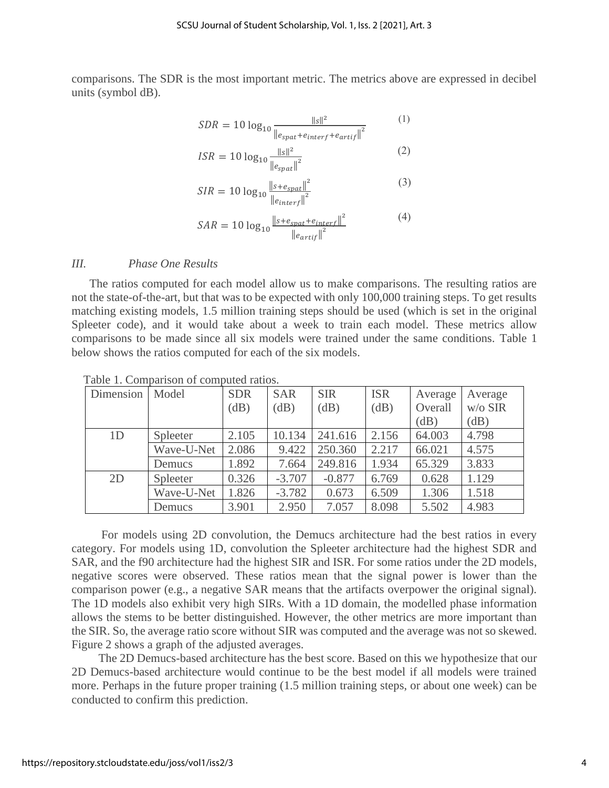comparisons. The SDR is the most important metric. The metrics above are expressed in decibel units (symbol dB).

$$
SDR = 10 \log_{10} \frac{\|s\|^2}{\left\|e_{spat} + e_{interf} + e_{artif}\right\|^2}
$$
 (1)

$$
= 10 \log_{10} \frac{\|s\|^2}{\|e_{spat}\|^2}
$$
 (2)

$$
SIR = 10 \log_{10} \frac{\|s + e_{spat}\|^2}{\|e_{interf}\|^2}
$$
 (3)

$$
SAR = 10 \log_{10} \frac{\left\| s + e_{spat} + e_{interf} \right\|^2}{\left\| e_{artif} \right\|^2} \tag{4}
$$

#### *III. Phase One Results*

 The ratios computed for each model allow us to make comparisons. The resulting ratios are not the state-of-the-art, but that was to be expected with only 100,000 training steps. To get results matching existing models, 1.5 million training steps should be used (which is set in the original Spleeter code), and it would take about a week to train each model. These metrics allow comparisons to be made since all six models were trained under the same conditions. Table 1 below shows the ratios computed for each of the six models.

| Dimension | Model      | <b>SDR</b> | <b>SAR</b> | <b>SIR</b> | <b>ISR</b> | Average | Average   |
|-----------|------------|------------|------------|------------|------------|---------|-----------|
|           |            | (dB)       | dB)        | (dB)       | (dB)       | Overall | $W/O$ SIR |
|           |            |            |            |            |            | (dB)    | (dB)      |
| 1D        | Spleeter   | 2.105      | 10.134     | 241.616    | 2.156      | 64.003  | 4.798     |
|           | Wave-U-Net | 2.086      | 9.422      | 250.360    | 2.217      | 66.021  | 4.575     |
|           | Demucs     | 1.892      | 7.664      | 249.816    | 1.934      | 65.329  | 3.833     |
| 2D        | Spleeter   | 0.326      | $-3.707$   | $-0.877$   | 6.769      | 0.628   | 1.129     |
|           | Wave-U-Net | 1.826      | $-3.782$   | 0.673      | 6.509      | 1.306   | 1.518     |
|           | Demucs     | 3.901      | 2.950      | 7.057      | 8.098      | 5.502   | 4.983     |

Table 1. Comparison of computed ratios.

 $ISR$ 

 For models using 2D convolution, the Demucs architecture had the best ratios in every category. For models using 1D, convolution the Spleeter architecture had the highest SDR and SAR, and the f90 architecture had the highest SIR and ISR. For some ratios under the 2D models, negative scores were observed. These ratios mean that the signal power is lower than the comparison power (e.g., a negative SAR means that the artifacts overpower the original signal). The 1D models also exhibit very high SIRs. With a 1D domain, the modelled phase information allows the stems to be better distinguished. However, the other metrics are more important than the SIR. So, the average ratio score without SIR was computed and the average was not so skewed. Figure 2 shows a graph of the adjusted averages.

 The 2D Demucs-based architecture has the best score. Based on this we hypothesize that our 2D Demucs-based architecture would continue to be the best model if all models were trained more. Perhaps in the future proper training (1.5 million training steps, or about one week) can be conducted to confirm this prediction.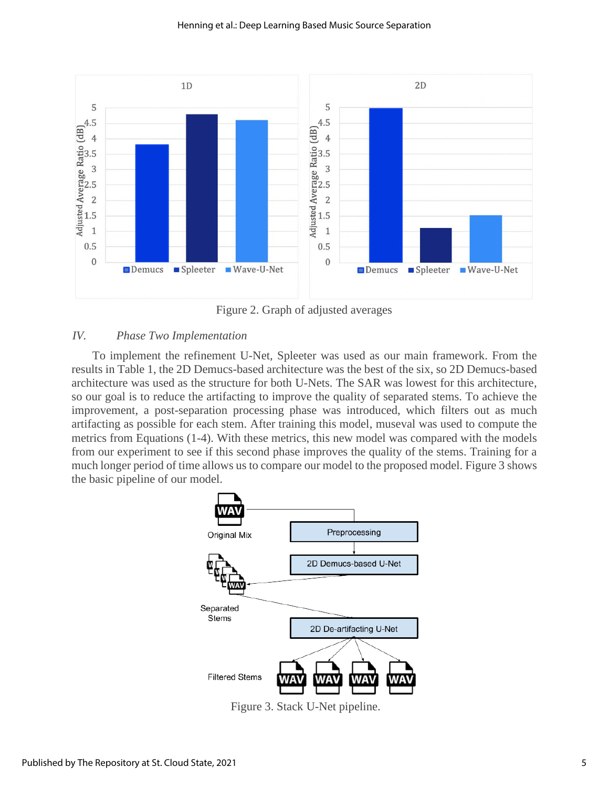

Figure 2. Graph of adjusted averages

### *IV. Phase Two Implementation*

 To implement the refinement U-Net, Spleeter was used as our main framework. From the results in Table 1, the 2D Demucs-based architecture was the best of the six, so 2D Demucs-based architecture was used as the structure for both U-Nets. The SAR was lowest for this architecture, so our goal is to reduce the artifacting to improve the quality of separated stems. To achieve the improvement, a post-separation processing phase was introduced, which filters out as much artifacting as possible for each stem. After training this model, museval was used to compute the metrics from Equations (1-4). With these metrics, this new model was compared with the models from our experiment to see if this second phase improves the quality of the stems. Training for a much longer period of time allows us to compare our model to the proposed model. Figure 3 shows the basic pipeline of our model.



Figure 3. Stack U-Net pipeline.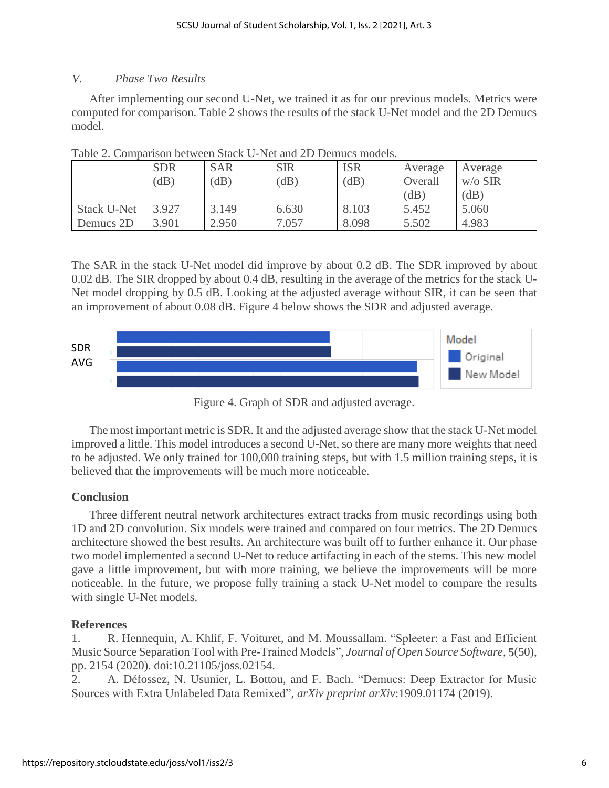## *V. Phase Two Results*

 After implementing our second U-Net, we trained it as for our previous models. Metrics were computed for comparison. Table 2 shows the results of the stack U-Net model and the 2D Demucs model.

|                    | <b>SDR</b> | <b>SAR</b> | <b>SIR</b> | <b>ISR</b> | Average | Average   |
|--------------------|------------|------------|------------|------------|---------|-----------|
|                    | (dB)       | (dB)       | (dB)       | (dB)       | Overall | $W/O$ SIR |
|                    |            |            |            |            | (dB)    | (dB)      |
| <b>Stack U-Net</b> | 3.927      | 3.149      | 6.630      | 8.103      | 5.452   | 5.060     |
| Demucs 2D          | 3.901      | 2.950      | 7.057      | 8.098      | 5.502   | 4.983     |

Table 2. Comparison between Stack U-Net and 2D Demucs models.

The SAR in the stack U-Net model did improve by about 0.2 dB. The SDR improved by about 0.02 dB. The SIR dropped by about 0.4 dB, resulting in the average of the metrics for the stack U-Net model dropping by 0.5 dB. Looking at the adjusted average without SIR, it can be seen that an improvement of about 0.08 dB. Figure 4 below shows the SDR and adjusted average.



Figure 4. Graph of SDR and adjusted average.

 The most important metric is SDR. It and the adjusted average show that the stack U-Net model improved a little. This model introduces a second U-Net, so there are many more weights that need to be adjusted. We only trained for 100,000 training steps, but with 1.5 million training steps, it is believed that the improvements will be much more noticeable.

## **Conclusion**

 Three different neutral network architectures extract tracks from music recordings using both 1D and 2D convolution. Six models were trained and compared on four metrics. The 2D Demucs architecture showed the best results. An architecture was built off to further enhance it. Our phase two model implemented a second U-Net to reduce artifacting in each of the stems. This new model gave a little improvement, but with more training, we believe the improvements will be more noticeable. In the future, we propose fully training a stack U-Net model to compare the results with single U-Net models.

## **References**

1. R. Hennequin, A. Khlif, F. Voituret, and M. Moussallam. "Spleeter: a Fast and Efficient Music Source Separation Tool with Pre-Trained Models", *Journal of Open Source Software*, **5**(50), pp. 2154 (2020). doi:10.21105/joss.02154.

2. A. Défossez, N. Usunier, L. Bottou, and F. Bach. "Demucs: Deep Extractor for Music Sources with Extra Unlabeled Data Remixed", *arXiv preprint arXiv*:1909.01174 (2019).